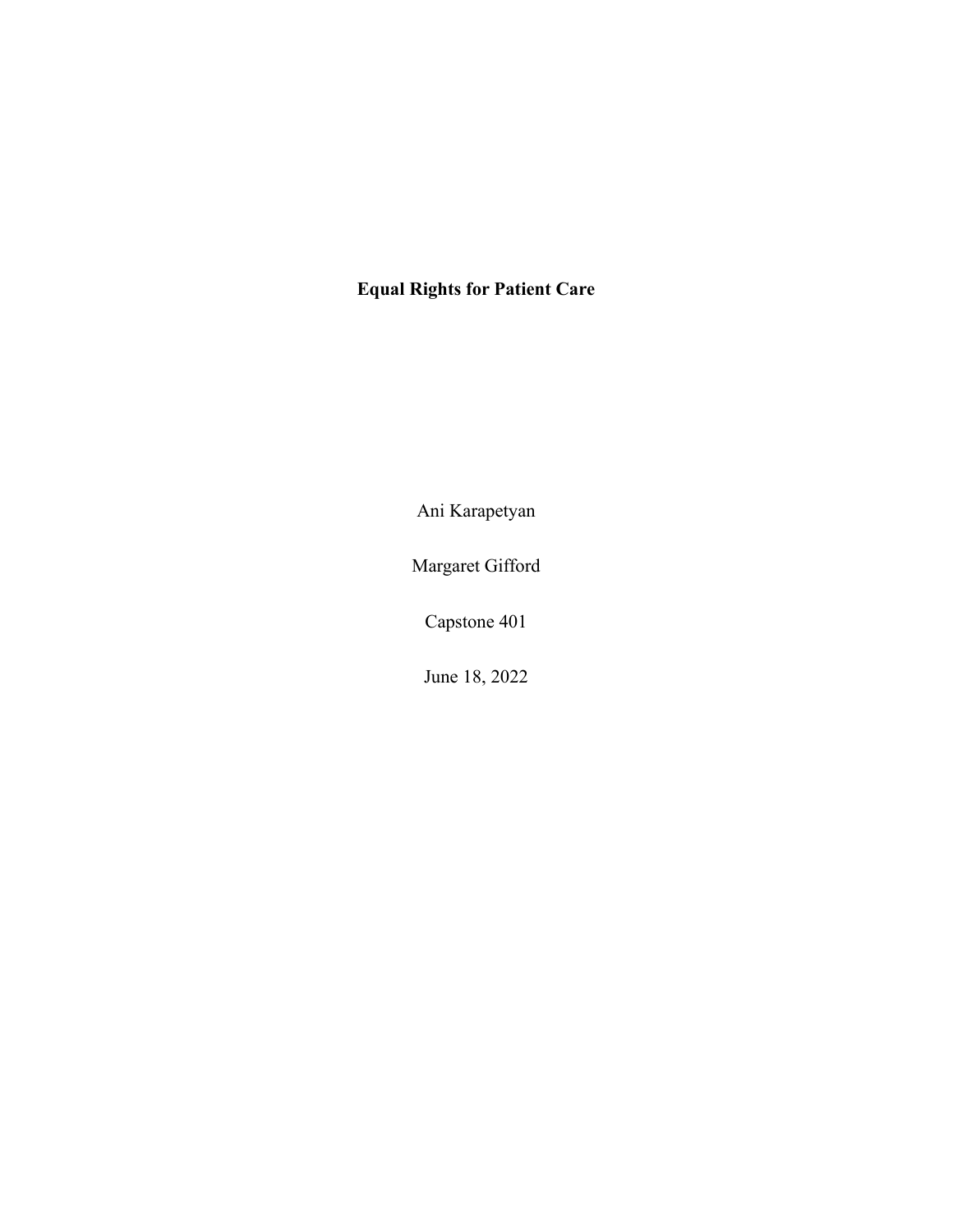## **Equal Rights for Patient Care**

Ani Karapetyan

Margaret Gifford

Capstone 401

June 18, 2022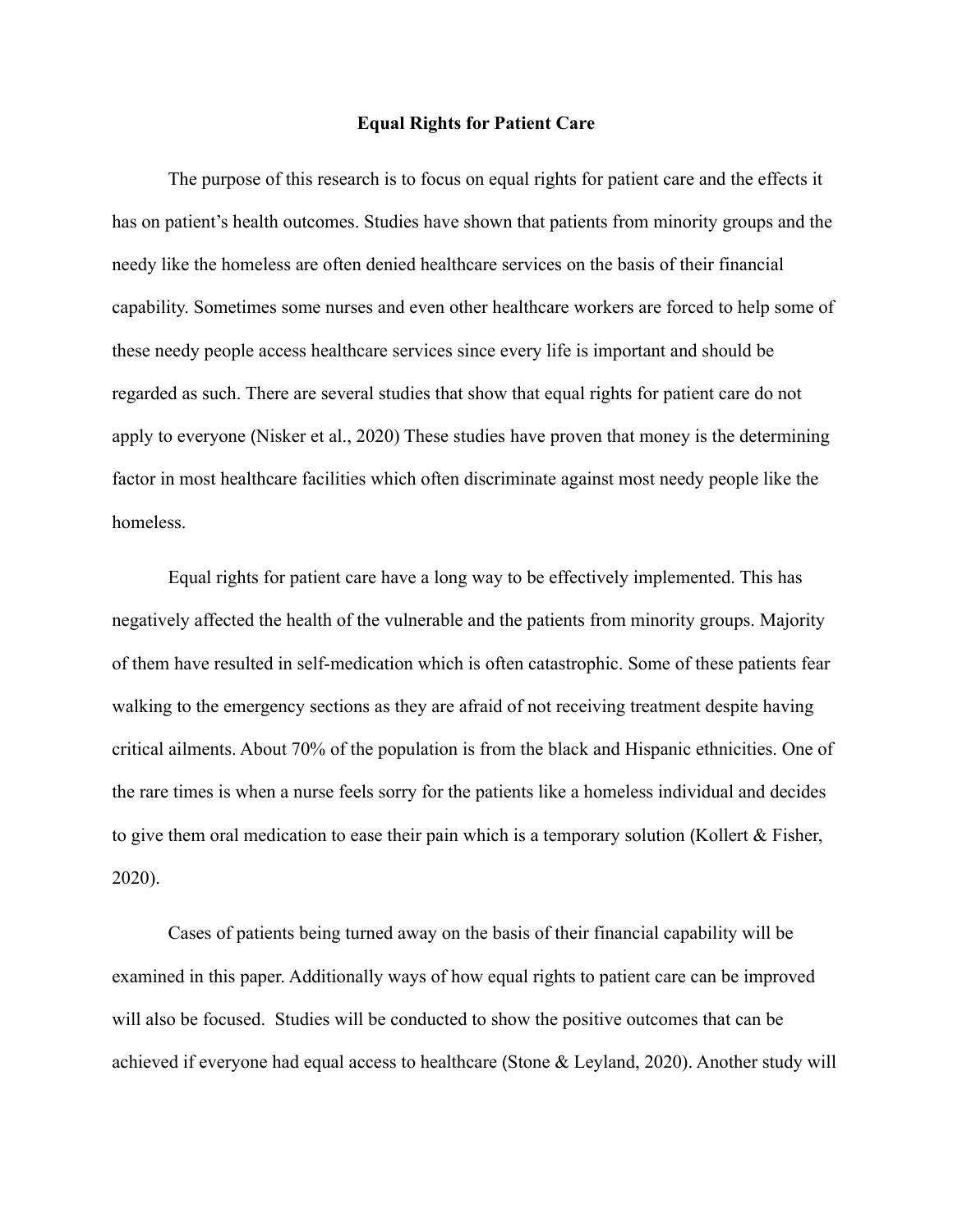## **Equal Rights for Patient Care**

The purpose of this research is to focus on equal rights for patient care and the effects it has on patient's health outcomes. Studies have shown that patients from minority groups and the needy like the homeless are often denied healthcare services on the basis of their financial capability. Sometimes some nurses and even other healthcare workers are forced to help some of these needy people access healthcare services since every life is important and should be regarded as such. There are several studies that show that equal rights for patient care do not apply to everyone (Nisker et al., 2020) These studies have proven that money is the determining factor in most healthcare facilities which often discriminate against most needy people like the homeless.

Equal rights for patient care have a long way to be effectively implemented. This has negatively affected the health of the vulnerable and the patients from minority groups. Majority of them have resulted in self-medication which is often catastrophic. Some of these patients fear walking to the emergency sections as they are afraid of not receiving treatment despite having critical ailments. About 70% of the population is from the black and Hispanic ethnicities. One of the rare times is when a nurse feels sorry for the patients like a homeless individual and decides to give them oral medication to ease their pain which is a temporary solution (Kollert & Fisher, 2020).

Cases of patients being turned away on the basis of their financial capability will be examined in this paper. Additionally ways of how equal rights to patient care can be improved will also be focused. Studies will be conducted to show the positive outcomes that can be achieved if everyone had equal access to healthcare (Stone & Leyland, 2020). Another study will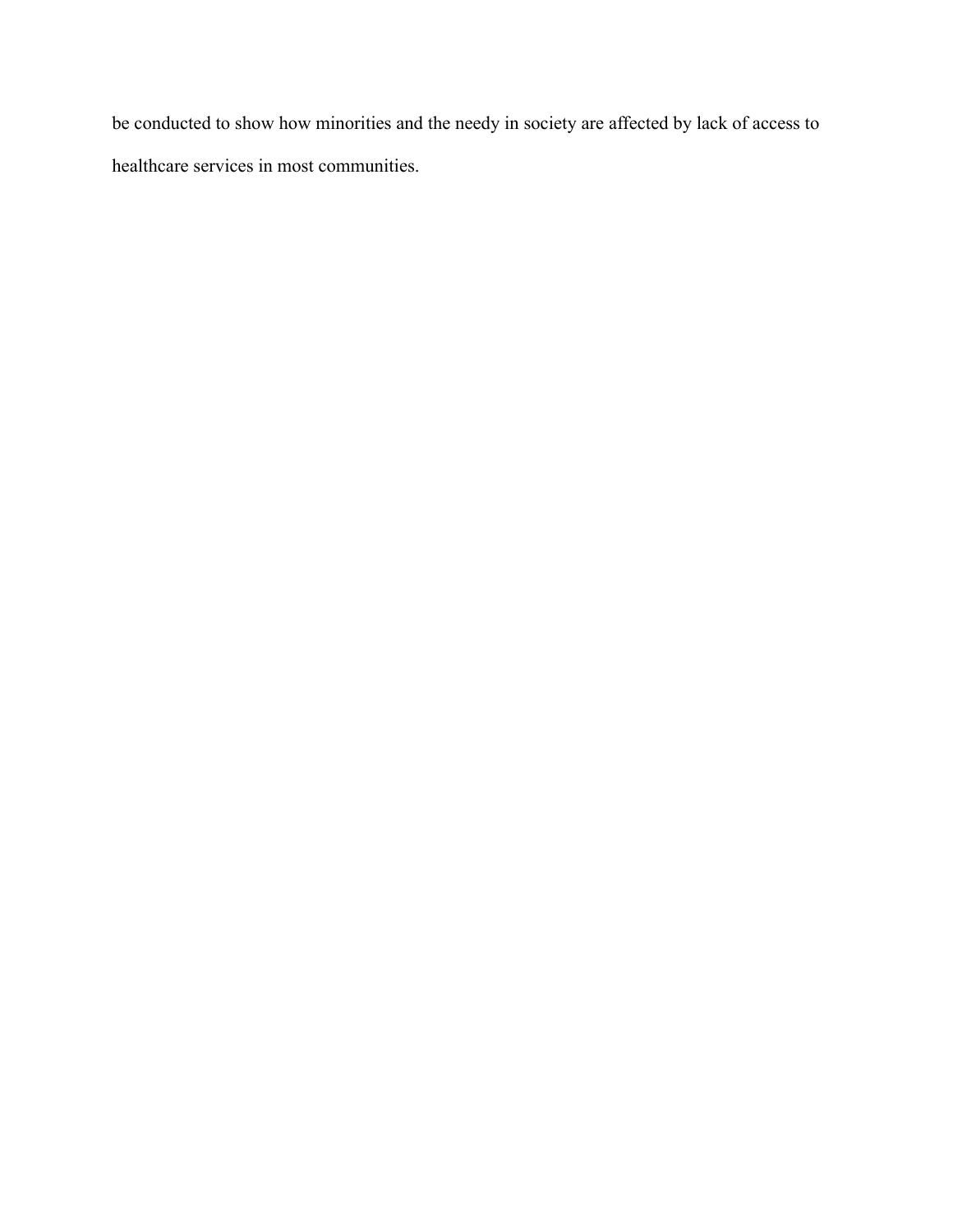be conducted to show how minorities and the needy in society are affected by lack of access to healthcare services in most communities.